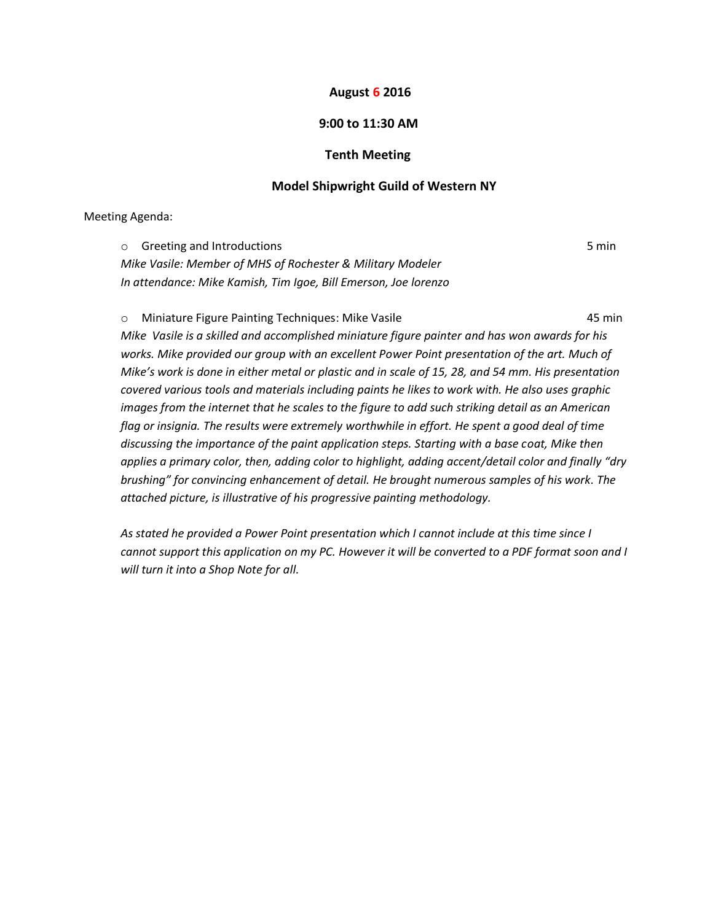### **August 6 2016**

# **9:00 to 11:30 AM**

### **Tenth Meeting**

## **Model Shipwright Guild of Western NY**

Meeting Agenda:

o Greeting and Introductions 6 minutes and  $\sim$  5 minutes of  $\sim$  5 minutes of  $\sim$  5 minutes of  $\sim$  5 minutes of  $\sim$  5 minutes of  $\sim$  5 minutes of  $\sim$  5 minutes of  $\sim$  5 minutes of  $\sim$  5 minutes of  $\sim$  5 minutes. *Mike Vasile: Member of MHS of Rochester & Military Modeler In attendance: Mike Kamish, Tim Igoe, Bill Emerson, Joe lorenzo*

o Miniature Figure Painting Techniques: Mike Vasile 45 min *Mike Vasile is a skilled and accomplished miniature figure painter and has won awards for his works. Mike provided our group with an excellent Power Point presentation of the art. Much of Mike's work is done in either metal or plastic and in scale of 15, 28, and 54 mm. His presentation covered various tools and materials including paints he likes to work with. He also uses graphic images from the internet that he scales to the figure to add such striking detail as an American flag or insignia. The results were extremely worthwhile in effort. He spent a good deal of time discussing the importance of the paint application steps. Starting with a base coat, Mike then applies a primary color, then, adding color to highlight, adding accent/detail color and finally "dry brushing" for convincing enhancement of detail. He brought numerous samples of his work. The attached picture, is illustrative of his progressive painting methodology.*

*As stated he provided a Power Point presentation which I cannot include at this time since I cannot support this application on my PC. However it will be converted to a PDF format soon and I will turn it into a Shop Note for all.*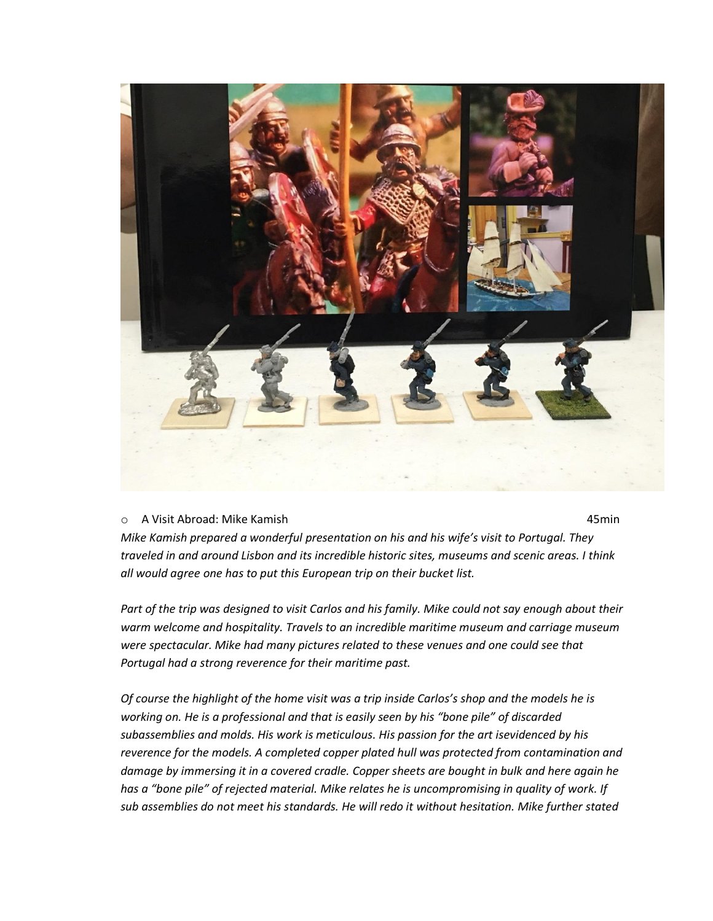

#### o A Visit Abroad: Mike Kamish 45min

*Mike Kamish prepared a wonderful presentation on his and his wife's visit to Portugal. They traveled in and around Lisbon and its incredible historic sites, museums and scenic areas. I think all would agree one has to put this European trip on their bucket list.*

*Part of the trip was designed to visit Carlos and his family. Mike could not say enough about their warm welcome and hospitality. Travels to an incredible maritime museum and carriage museum were spectacular. Mike had many pictures related to these venues and one could see that Portugal had a strong reverence for their maritime past.*

*Of course the highlight of the home visit was a trip inside Carlos's shop and the models he is working on. He is a professional and that is easily seen by his "bone pile" of discarded subassemblies and molds. His work is meticulous. His passion for the art isevidenced by his reverence for the models. A completed copper plated hull was protected from contamination and damage by immersing it in a covered cradle. Copper sheets are bought in bulk and here again he has a "bone pile" of rejected material. Mike relates he is uncompromising in quality of work. If sub assemblies do not meet his standards. He will redo it without hesitation. Mike further stated*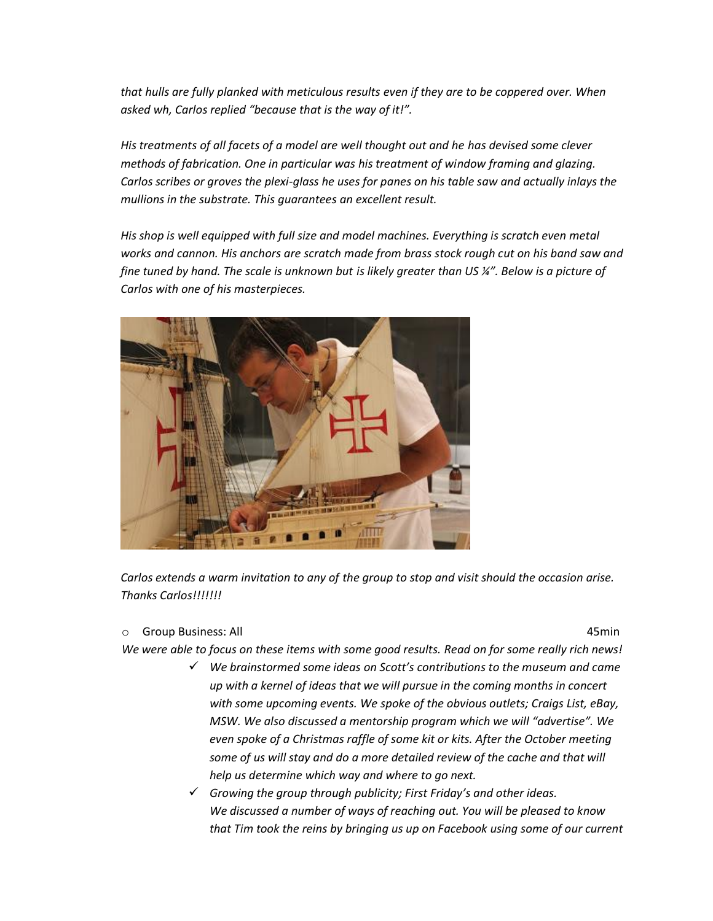*that hulls are fully planked with meticulous results even if they are to be coppered over. When asked wh, Carlos replied "because that is the way of it!".*

*His treatments of all facets of a model are well thought out and he has devised some clever methods of fabrication. One in particular was his treatment of window framing and glazing. Carlos scribes or groves the plexi-glass he uses for panes on his table saw and actually inlays the mullions in the substrate. This guarantees an excellent result.*

*His shop is well equipped with full size and model machines. Everything is scratch even metal*  works and cannon. His anchors are scratch made from brass stock rough cut on his band saw and *fine tuned by hand. The scale is unknown but is likely greater than US ¼". Below is a picture of Carlos with one of his masterpieces.*



*Carlos extends a warm invitation to any of the group to stop and visit should the occasion arise. Thanks Carlos!!!!!!!*

o Group Business: All 45min

*We were able to focus on these items with some good results. Read on for some really rich news!*

- *We brainstormed some ideas on Scott's contributions to the museum and came up with a kernel of ideas that we will pursue in the coming months in concert with some upcoming events. We spoke of the obvious outlets; Craigs List, eBay, MSW. We also discussed a mentorship program which we will "advertise". We even spoke of a Christmas raffle of some kit or kits. After the October meeting some of us will stay and do a more detailed review of the cache and that will help us determine which way and where to go next.*
- *Growing the group through publicity; First Friday's and other ideas. We discussed a number of ways of reaching out. You will be pleased to know that Tim took the reins by bringing us up on Facebook using some of our current*